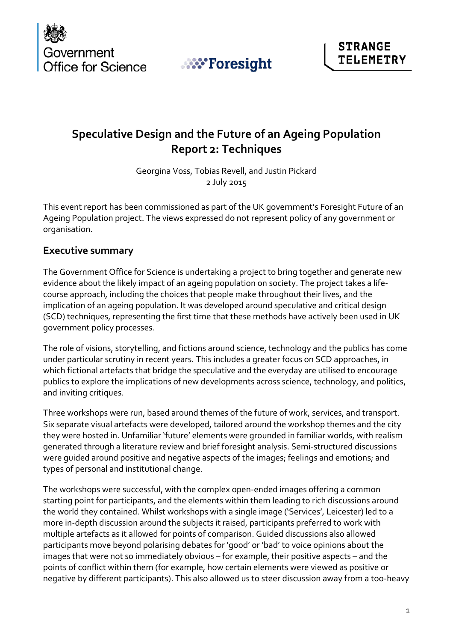





# **Speculative Design and the Future of an Ageing Population Report 2: Techniques**

Georgina Voss, Tobias Revell, and Justin Pickard 2 July 2015

This event report has been commissioned as part of the UK government's Foresight Future of an Ageing Population project. The views expressed do not represent policy of any government or organisation.

#### **Executive summary**

The Government Office for Science is undertaking a project to bring together and generate new evidence about the likely impact of an ageing population on society. The project takes a lifecourse approach, including the choices that people make throughout their lives, and the implication of an ageing population. It was developed around speculative and critical design (SCD) techniques, representing the first time that these methods have actively been used in UK government policy processes.

The role of visions, storytelling, and fictions around science, technology and the publics has come under particular scrutiny in recent years. This includes a greater focus on SCD approaches, in which fictional artefacts that bridge the speculative and the everyday are utilised to encourage publics to explore the implications of new developments across science, technology, and politics, and inviting critiques.

Three workshops were run, based around themes of the future of work, services, and transport. Six separate visual artefacts were developed, tailored around the workshop themes and the city they were hosted in. Unfamiliar 'future' elements were grounded in familiar worlds, with realism generated through a literature review and brief foresight analysis. Semi-structured discussions were guided around positive and negative aspects of the images; feelings and emotions; and types of personal and institutional change.

The workshops were successful, with the complex open-ended images offering a common starting point for participants, and the elements within them leading to rich discussions around the world they contained. Whilst workshops with a single image ('Services', Leicester) led to a more in-depth discussion around the subjects it raised, participants preferred to work with multiple artefacts as it allowed for points of comparison. Guided discussions also allowed participants move beyond polarising debates for 'good' or 'bad' to voice opinions about the images that were not so immediately obvious – for example, their positive aspects – and the points of conflict within them (for example, how certain elements were viewed as positive or negative by different participants). This also allowed us to steer discussion away from a too-heavy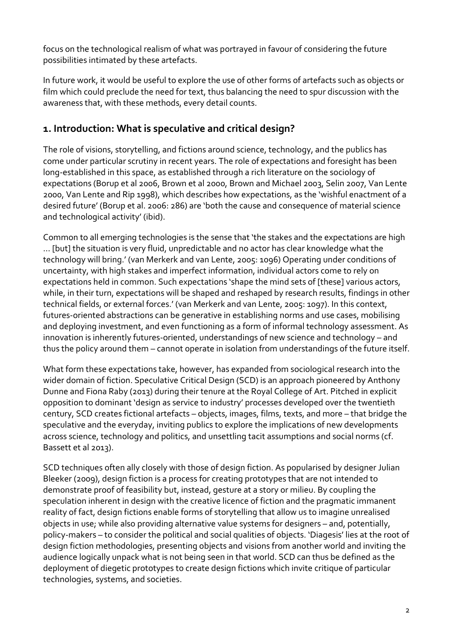focus on the technological realism of what was portrayed in favour of considering the future possibilities intimated by these artefacts.

In future work, it would be useful to explore the use of other forms of artefacts such as objects or film which could preclude the need for text, thus balancing the need to spur discussion with the awareness that, with these methods, every detail counts.

## **1. Introduction: What is speculative and critical design?**

The role of visions, storytelling, and fictions around science, technology, and the publics has come under particular scrutiny in recent years. The role of expectations and foresight has been long-established in this space, as established through a rich literature on the sociology of expectations (Borup et al 2006, Brown et al 2000, Brown and Michael 2003, Selin 2007, Van Lente 2000, Van Lente and Rip 1998), which describes how expectations, as the 'wishful enactment of a desired future' (Borup et al. 2006: 286) are 'both the cause and consequence of material science and technological activity' (ibid).

Common to all emerging technologies is the sense that 'the stakes and the expectations are high … [but] the situation is very fluid, unpredictable and no actor has clear knowledge what the technology will bring.' (van Merkerk and van Lente, 2005: 1096) Operating under conditions of uncertainty, with high stakes and imperfect information, individual actors come to rely on expectations held in common. Such expectations 'shape the mind sets of [these] various actors, while, in their turn, expectations will be shaped and reshaped by research results, findings in other technical fields, or external forces.' (van Merkerk and van Lente, 2005: 1097). In this context, futures-oriented abstractions can be generative in establishing norms and use cases, mobilising and deploying investment, and even functioning as a form of informal technology assessment. As innovation is inherently futures-oriented, understandings of new science and technology – and thus the policy around them – cannot operate in isolation from understandings of the future itself.

What form these expectations take, however, has expanded from sociological research into the wider domain of fiction. Speculative Critical Design (SCD) is an approach pioneered by Anthony Dunne and Fiona Raby (2013) during their tenure at the Royal College of Art. Pitched in explicit opposition to dominant 'design as service to industry' processes developed over the twentieth century, SCD creates fictional artefacts – objects, images, films, texts, and more – that bridge the speculative and the everyday, inviting publics to explore the implications of new developments across science, technology and politics, and unsettling tacit assumptions and social norms (cf. Bassett et al 2013).

SCD techniques often ally closely with those of design fiction. As popularised by designer Julian Bleeker (2009), design fiction is a process for creating prototypes that are not intended to demonstrate proof of feasibility but, instead, gesture at a story or milieu. By coupling the speculation inherent in design with the creative licence of fiction and the pragmatic immanent reality of fact, design fictions enable forms of storytelling that allow us to imagine unrealised objects in use; while also providing alternative value systems for designers – and, potentially, policy-makers – to consider the political and social qualities of objects. 'Diagesis' lies at the root of design fiction methodologies, presenting objects and visions from another world and inviting the audience logically unpack what is not being seen in that world. SCD can thus be defined as the deployment of diegetic prototypes to create design fictions which invite critique of particular technologies, systems, and societies.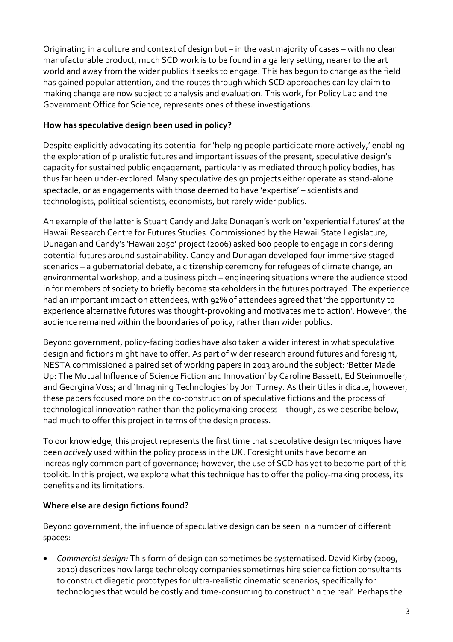Originating in a culture and context of design but – in the vast majority of cases – with no clear manufacturable product, much SCD work is to be found in a gallery setting, nearer to the art world and away from the wider publics it seeks to engage. This has begun to change as the field has gained popular attention, and the routes through which SCD approaches can lay claim to making change are now subject to analysis and evaluation. This work, for Policy Lab and the Government Office for Science, represents ones of these investigations.

#### **How has speculative design been used in policy?**

Despite explicitly advocating its potential for 'helping people participate more actively,' enabling the exploration of pluralistic futures and important issues of the present, speculative design's capacity for sustained public engagement, particularly as mediated through policy bodies, has thus far been under-explored. Many speculative design projects either operate as stand-alone spectacle, or as engagements with those deemed to have 'expertise' – scientists and technologists, political scientists, economists, but rarely wider publics.

An example of the latter is Stuart Candy and Jake Dunagan's work on 'experiential futures' at the Hawaii Research Centre for Futures Studies. Commissioned by the Hawaii State Legislature, Dunagan and Candy's 'Hawaii 2050' project (2006) asked 600 people to engage in considering potential futures around sustainability. Candy and Dunagan developed four immersive staged scenarios – a gubernatorial debate, a citizenship ceremony for refugees of climate change, an environmental workshop, and a business pitch – engineering situations where the audience stood in for members of society to briefly become stakeholders in the futures portrayed. The experience had an important impact on attendees, with 92% of attendees agreed that 'the opportunity to experience alternative futures was thought-provoking and motivates me to action'. However, the audience remained within the boundaries of policy, rather than wider publics.

Beyond government, policy-facing bodies have also taken a wider interest in what speculative design and fictions might have to offer. As part of wider research around futures and foresight, NESTA commissioned a paired set of working papers in 2013 around the subject: 'Better Made Up: The Mutual Influence of Science Fiction and Innovation' by Caroline Bassett, Ed Steinmueller, and Georgina Voss; and 'Imagining Technologies' by Jon Turney. As their titles indicate, however, these papers focused more on the co-construction of speculative fictions and the process of technological innovation rather than the policymaking process – though, as we describe below, had much to offer this project in terms of the design process.

To our knowledge, this project represents the first time that speculative design techniques have been *actively* used within the policy process in the UK. Foresight units have become an increasingly common part of governance; however, the use of SCD has yet to become part of this toolkit. In this project, we explore what this technique has to offer the policy-making process, its benefits and its limitations.

#### **Where else are design fictions found?**

Beyond government, the influence of speculative design can be seen in a number of different spaces:

• *Commercial design:* This form of design can sometimes be systematised. David Kirby (2009, 2010) describes how large technology companies sometimes hire science fiction consultants to construct diegetic prototypes for ultra-realistic cinematic scenarios, specifically for technologies that would be costly and time-consuming to construct 'in the real'. Perhaps the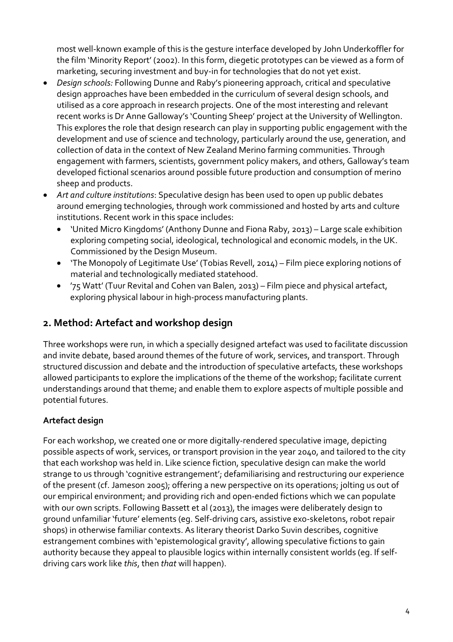most well-known example of this is the gesture interface developed by John Underkoffler for the film 'Minority Report' (2002). In this form, diegetic prototypes can be viewed as a form of marketing, securing investment and buy-in for technologies that do not yet exist.

- *Design schools:* Following Dunne and Raby's pioneering approach, critical and speculative design approaches have been embedded in the curriculum of several design schools, and utilised as a core approach in research projects. One of the most interesting and relevant recent works is Dr Anne Galloway's 'Counting Sheep' project at the University of Wellington. This explores the role that design research can play in supporting public engagement with the development and use of science and technology, particularly around the use, generation, and collection of data in the context of New Zealand Merino farming communities. Through engagement with farmers, scientists, government policy makers, and others, Galloway's team developed fictional scenarios around possible future production and consumption of merino sheep and products.
- *Art and culture institutions*: Speculative design has been used to open up public debates around emerging technologies, through work commissioned and hosted by arts and culture institutions. Recent work in this space includes:
	- 'United Micro Kingdoms' (Anthony Dunne and Fiona Raby, 2013) Large scale exhibition exploring competing social, ideological, technological and economic models, in the UK. Commissioned by the Design Museum.
	- 'The Monopoly of Legitimate Use' (Tobias Revell, 2014) Film piece exploring notions of material and technologically mediated statehood.
	- '75 Watt' (Tuur Revital and Cohen van Balen, 2013) Film piece and physical artefact, exploring physical labour in high-process manufacturing plants.

# **2. Method: Artefact and workshop design**

Three workshops were run, in which a specially designed artefact was used to facilitate discussion and invite debate, based around themes of the future of work, services, and transport. Through structured discussion and debate and the introduction of speculative artefacts, these workshops allowed participants to explore the implications of the theme of the workshop; facilitate current understandings around that theme; and enable them to explore aspects of multiple possible and potential futures.

### **Artefact design**

For each workshop, we created one or more digitally-rendered speculative image, depicting possible aspects of work, services, or transport provision in the year 2040, and tailored to the city that each workshop was held in. Like science fiction, speculative design can make the world strange to us through 'cognitive estrangement'; defamiliarising and restructuring our experience of the present (cf. Jameson 2005); offering a new perspective on its operations; jolting us out of our empirical environment; and providing rich and open-ended fictions which we can populate with our own scripts. Following Bassett et al (2013), the images were deliberately design to ground unfamiliar 'future' elements (eg. Self-driving cars, assistive exo-skeletons, robot repair shops) in otherwise familiar contexts. As literary theorist Darko Suvin describes, cognitive estrangement combines with 'epistemological gravity', allowing speculative fictions to gain authority because they appeal to plausible logics within internally consistent worlds (eg. If selfdriving cars work like *this*, then *that* will happen).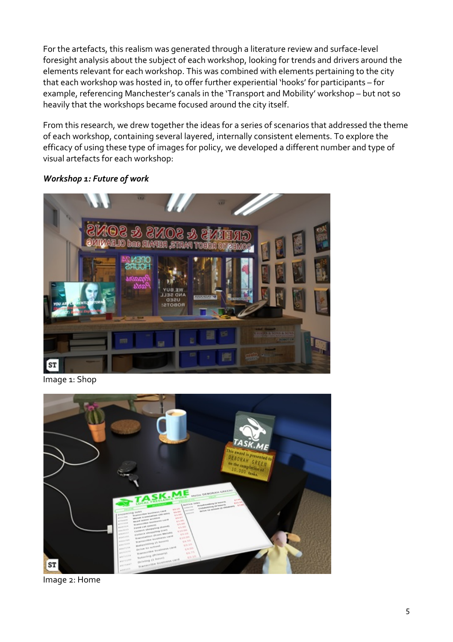For the artefacts, this realism was generated through a literature review and surface-level foresight analysis about the subject of each workshop, looking for trends and drivers around the elements relevant for each workshop. This was combined with elements pertaining to the city that each workshop was hosted in, to offer further experiential 'hooks' for participants – for example, referencing Manchester's canals in the 'Transport and Mobility' workshop – but not so heavily that the workshops became focused around the city itself.

From this research, we drew together the ideas for a series of scenarios that addressed the theme of each workshop, containing several layered, internally consistent elements. To explore the efficacy of using these type of images for policy, we developed a different number and type of visual artefacts for each workshop:



#### *Workshop 1: Future of work*

Image 1: Shop



Image 2: Home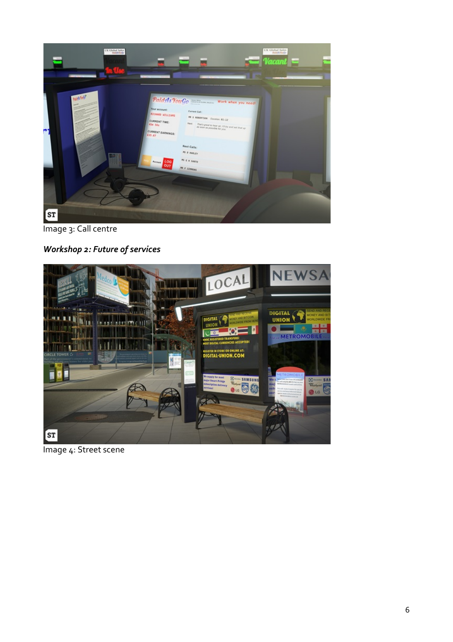

Image 3: Call centre

*Workshop 2: Future of services*



Image 4: Street scene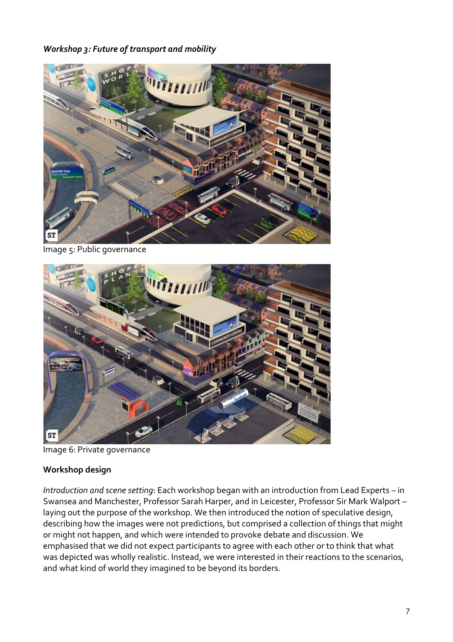#### *Workshop 3: Future of transport and mobility*



Image 5: Public governance



Image 6: Private governance

#### **Workshop design**

*Introduction and scene setting*: Each workshop began with an introduction from Lead Experts – in Swansea and Manchester, Professor Sarah Harper, and in Leicester, Professor Sir Mark Walport – laying out the purpose of the workshop. We then introduced the notion of speculative design, describing how the images were not predictions, but comprised a collection of things that might or might not happen, and which were intended to provoke debate and discussion. We emphasised that we did not expect participants to agree with each other or to think that what was depicted was wholly realistic. Instead, we were interested in their reactions to the scenarios, and what kind of world they imagined to be beyond its borders.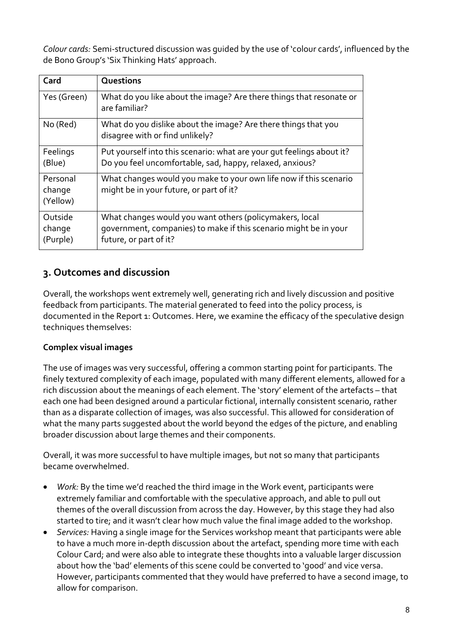*Colour cards:* Semi-structured discussion was guided by the use of 'colour cards', influenced by the de Bono Group's 'Six Thinking Hats' approach.

| Card                           | Questions                                                                                                                                             |
|--------------------------------|-------------------------------------------------------------------------------------------------------------------------------------------------------|
| Yes (Green)                    | What do you like about the image? Are there things that resonate or<br>are familiar?                                                                  |
| No (Red)                       | What do you dislike about the image? Are there things that you<br>disagree with or find unlikely?                                                     |
| Feelings<br>(Blue)             | Put yourself into this scenario: what are your gut feelings about it?<br>Do you feel uncomfortable, sad, happy, relaxed, anxious?                     |
| Personal<br>change<br>(Yellow) | What changes would you make to your own life now if this scenario<br>might be in your future, or part of it?                                          |
| Outside<br>change<br>(Purple)  | What changes would you want others (policymakers, local<br>government, companies) to make if this scenario might be in your<br>future, or part of it? |

### **3. Outcomes and discussion**

Overall, the workshops went extremely well, generating rich and lively discussion and positive feedback from participants. The material generated to feed into the policy process, is documented in the Report 1: Outcomes. Here, we examine the efficacy of the speculative design techniques themselves:

#### **Complex visual images**

The use of images was very successful, offering a common starting point for participants. The finely textured complexity of each image, populated with many different elements, allowed for a rich discussion about the meanings of each element. The 'story' element of the artefacts – that each one had been designed around a particular fictional, internally consistent scenario, rather than as a disparate collection of images, was also successful. This allowed for consideration of what the many parts suggested about the world beyond the edges of the picture, and enabling broader discussion about large themes and their components.

Overall, it was more successful to have multiple images, but not so many that participants became overwhelmed.

- *Work:* By the time we'd reached the third image in the Work event, participants were extremely familiar and comfortable with the speculative approach, and able to pull out themes of the overall discussion from across the day. However, by this stage they had also started to tire; and it wasn't clear how much value the final image added to the workshop.
- *Services:* Having a single image for the Services workshop meant that participants were able to have a much more in-depth discussion about the artefact, spending more time with each Colour Card; and were also able to integrate these thoughts into a valuable larger discussion about how the 'bad' elements of this scene could be converted to 'good' and vice versa. However, participants commented that they would have preferred to have a second image, to allow for comparison.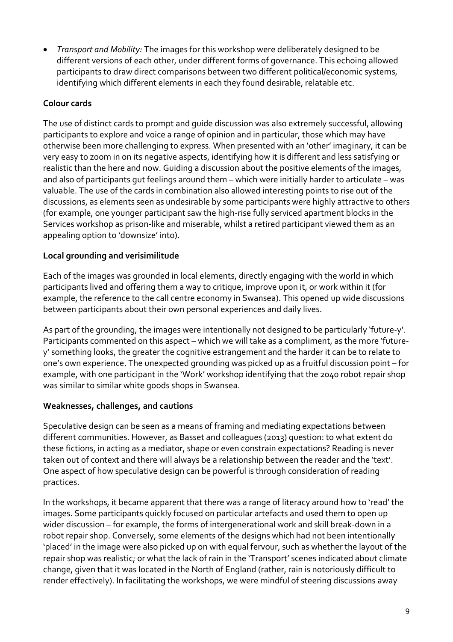• *Transport and Mobility:* The images for this workshop were deliberately designed to be different versions of each other, under different forms of governance. This echoing allowed participants to draw direct comparisons between two different political/economic systems, identifying which different elements in each they found desirable, relatable etc.

#### **Colour cards**

The use of distinct cards to prompt and guide discussion was also extremely successful, allowing participants to explore and voice a range of opinion and in particular, those which may have otherwise been more challenging to express. When presented with an 'other' imaginary, it can be very easy to zoom in on its negative aspects, identifying how it is different and less satisfying or realistic than the here and now. Guiding a discussion about the positive elements of the images, and also of participants gut feelings around them – which were initially harder to articulate – was valuable. The use of the cards in combination also allowed interesting points to rise out of the discussions, as elements seen as undesirable by some participants were highly attractive to others (for example, one younger participant saw the high-rise fully serviced apartment blocks in the Services workshop as prison-like and miserable, whilst a retired participant viewed them as an appealing option to 'downsize' into).

#### **Local grounding and verisimilitude**

Each of the images was grounded in local elements, directly engaging with the world in which participants lived and offering them a way to critique, improve upon it, or work within it (for example, the reference to the call centre economy in Swansea). This opened up wide discussions between participants about their own personal experiences and daily lives.

As part of the grounding, the images were intentionally not designed to be particularly 'future-y'. Participants commented on this aspect – which we will take as a compliment, as the more 'futurey' something looks, the greater the cognitive estrangement and the harder it can be to relate to one's own experience. The unexpected grounding was picked up as a fruitful discussion point – for example, with one participant in the 'Work' workshop identifying that the 2040 robot repair shop was similar to similar white goods shops in Swansea.

#### **Weaknesses, challenges, and cautions**

Speculative design can be seen as a means of framing and mediating expectations between different communities. However, as Basset and colleagues (2013) question: to what extent do these fictions, in acting as a mediator, shape or even constrain expectations? Reading is never taken out of context and there will always be a relationship between the reader and the 'text'. One aspect of how speculative design can be powerful is through consideration of reading practices.

In the workshops, it became apparent that there was a range of literacy around how to 'read' the images. Some participants quickly focused on particular artefacts and used them to open up wider discussion – for example, the forms of intergenerational work and skill break-down in a robot repair shop. Conversely, some elements of the designs which had not been intentionally 'placed' in the image were also picked up on with equal fervour, such as whether the layout of the repair shop was realistic; or what the lack of rain in the 'Transport' scenes indicated about climate change, given that it was located in the North of England (rather, rain is notoriously difficult to render effectively). In facilitating the workshops, we were mindful of steering discussions away